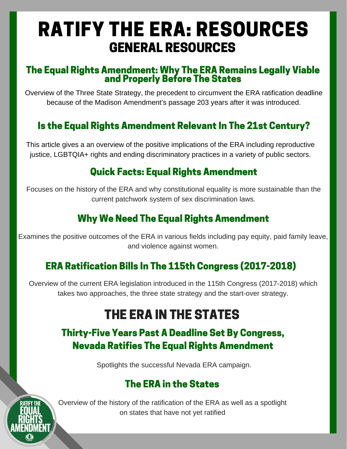# RATIFY THE ERA: RESOURCES GENERAL RESOURCES

#### The Equal Rights [Amendment:](http://www.equalrightsamendment.org/misc/ERA_3-state.pdf) Why The ERA Remains Legally Viable and Properly Before The States

Overview of the Three State Strategy, the precedent to circumvent the ERA ratification deadline because of the Madison Amendment's passage 203 years after it was introduced.

## Is the Equal Rights [Amendment](http://now.org/resource/is-the-equal-rights-amendment-relevant-in-the-21st-century/) Relevant In The 21st Century?

This article gives a an overview of the positive implications of the ERA including reproductive justice, LGBTQIA+ rights and ending discriminatory practices in a variety of public sectors.

## Quick Facts: Equal Rights [Amendment](http://www.aauw.org/files/2014/08/ERA.pdf)

Focuses on the history of the ERA and why constitutional equality is more sustainable than the current patchwork system of sex discrimination laws.

## Why We Need The Equal Rights [Amendment](http://www.eracoalition.org/files/whyweneedtheERA.pdf)

Examines the positive outcomes of the ERA in various fields including pay equity, paid family leave, and violence against women.

## ERA Ratification Bills In The 115th Congress [\(2017-2018\)](http://www.equalrightsamendment.org/congress.htm)

Overview of the current ERA legislation introduced in the 115th Congress (2017-2018) which takes two approaches, the three state strategy and the start-over strategy.

## THE ERA IN THE [STATES](https://www.washingtonpost.com/posteverything/wp/2017/01/23/repealing-the-affordable-care-act-will-kill-more-than-43000-people-annually/?utm_term=.b89bdad2ca1b)

## Thirty-Five Years Past A Deadline Set By Congress, Nevada Ratifies The Equal Rights [Amendment](https://www.healthcare.gov/coverage/birth-control-benefits/)

Spotlights the successful Nevada ERA campaign.

## The ERA in the [States](http://equalrightsamendment.org/states.htm)



Overview of the history of the ratification of the ERA as well as a spotlight on states that have not yet ratified